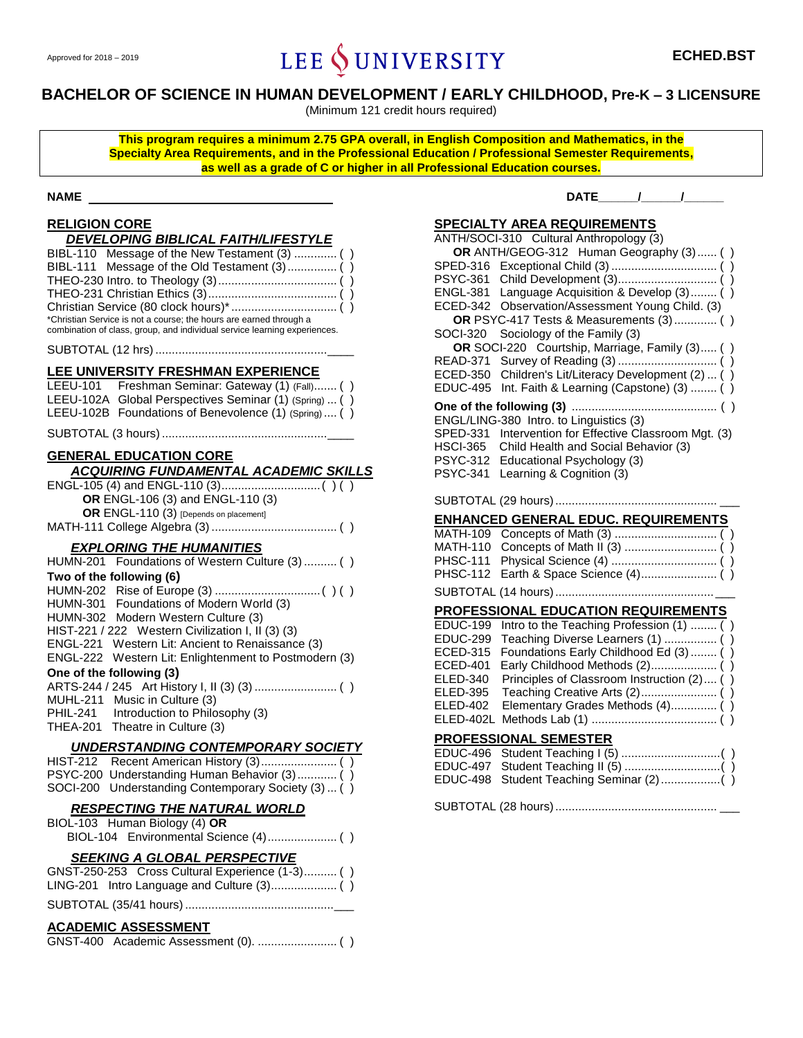# Approved for 2018 – 2019 **ECHED.BST ECHED.BST**

# **BACHELOR OF SCIENCE IN HUMAN DEVELOPMENT / EARLY CHILDHOOD, Pre-K – 3 LICENSURE**

(Minimum 121 credit hours required)

**This program requires a minimum 2.75 GPA overall, in English Composition and Mathematics, in the Specialty Area Requirements, and in the Professional Education / Professional Semester Requirements, as well as a grade of C or higher in all Professional Education courses.**

# **RELIGION CORE**

| DEVELOPING BIBLICAL FAITH/LIFESTYLE                                |
|--------------------------------------------------------------------|
| BIBL-110 Message of the New Testament (3)  ()                      |
|                                                                    |
|                                                                    |
|                                                                    |
|                                                                    |
| *Christian Service is not a course; the hours are earned through a |

combination of class, group, and individual service learning experiences.

# SUBTOTAL (12 hrs)....................................................\_\_\_\_

#### **LEE UNIVERSITY FRESHMAN EXPERIENCE** LEEU-101 Freshman Seminar: Gateway (1) (Fall)....... () LEEU-102A Global Perspectives Seminar (1) (Spring) ... () LEEU-102B Foundations of Benevolence (1) (Spring) .... ()

#### SUBTOTAL (3 hours) ..................................................\_\_\_\_

# **GENERAL EDUCATION CORE**

| <b>ACQUIRING FUNDAMENTAL ACADEMIC SKILLS</b> |
|----------------------------------------------|
|                                              |
| <b>OR</b> ENGL-106 (3) and ENGL-110 (3)      |
| OR ENGL-110 (3) [Depends on placement]       |
|                                              |

# *EXPLORING THE HUMANITIES*

| HUMN-201 Foundations of Western Culture (3)  ()       |
|-------------------------------------------------------|
| Two of the following (6)                              |
|                                                       |
| HUMN-301 Foundations of Modern World (3)              |
| HUMN-302 Modern Western Culture (3)                   |
| HIST-221 / 222 Western Civilization I, II (3) (3)     |
| ENGL-221 Western Lit: Ancient to Renaissance (3)      |
| ENGL-222 Western Lit: Enlightenment to Postmodern (3) |
| One of the following (3)                              |
|                                                       |
| MUHL-211 Music in Culture (3)                         |
| PHIL-241 Introduction to Philosophy (3)               |
| THEA-201 Theatre in Culture (3)                       |
| UNDERSTANDING CONTEMPORARY SOCIETY                    |
|                                                       |
| $PSVC-200$ Understanding Human Rehavior $(3)$ ()      |

#### G-200 Understanding Human Behavior (3)............ SOCI-200 Understanding Contemporary Society (3) ... ( ) *RESPECTING THE NATURAL WORLD*

# BIOL-103 Human Biology (4) **OR** BIOL-104 Environmental Science (4)..................... ( ) *SEEKING A GLOBAL PERSPECTIVE* GNST-250-253 Cross Cultural Experience (1-3).......... ( ) LING-201 Intro Language and Culture (3).................... ( ) SUBTOTAL (35/41 hours).............................................\_\_\_ **ACADEMIC ASSESSMENT**

GNST-400 Academic Assessment (0). ........................ ( )

**NAME DATE\_\_\_\_\_\_/\_\_\_\_\_\_/\_\_\_\_\_\_**

# **SPECIALTY AREA REQUIREMENTS**

|                 | ANTH/SOCI-310 Cultural Anthropology (3)       |
|-----------------|-----------------------------------------------|
|                 | OR ANTH/GEOG-312 Human Geography (3)  (       |
| <b>SPED-316</b> |                                               |
| <b>PSYC-361</b> |                                               |
| <b>ENGL-381</b> | Language Acquisition & Develop (3) (          |
| <b>ECED-342</b> | Observation/Assessment Young Child. (3)       |
|                 | OR PSYC-417 Tests & Measurements (3)  ()      |
| <b>SOCI-320</b> | Sociology of the Family (3)                   |
|                 | OR SOCI-220 Courtship, Marriage, Family (3) ( |
| <b>READ-371</b> |                                               |
| <b>ECED-350</b> | Children's Lit/Literacy Development (2)  (    |
| <b>EDUC-495</b> | Int. Faith & Learning (Capstone) (3)  (<br>)  |
|                 |                                               |
|                 | ENGL/LING-380 Intro. to Linguistics (3)       |
| <b>SPED-331</b> | Intervention for Effective Classroom Mgt. (3) |
| <b>HSCI-365</b> | Child Health and Social Behavior (3)          |
| <b>PSYC-312</b> | Educational Psychology (3)                    |
| <b>PSYC-341</b> | Learning & Cognition (3)                      |
|                 |                                               |
|                 |                                               |
|                 | <b>ENHANCED GENERAL EDUC. REQUIREMENTS</b>    |
| <b>MATH-109</b> |                                               |
| <b>MATH-110</b> |                                               |
| <b>PHSC-111</b> |                                               |
| <b>PHSC-112</b> | $\lambda$                                     |
|                 |                                               |
|                 | <b>PROFESSIONAL EDUCATION REQUIREMENTS</b>    |
| <b>EDUC-199</b> | Intro to the Teaching Profession (1)  (       |
| <b>EDUC-299</b> | Teaching Diverse Learners (1)  (              |
| <b>ECED-315</b> | Foundations Early Childhood Ed (3)  (         |
| <b>ECED-401</b> | Early Childhood Methods (2) (                 |
| <b>ELED-340</b> | Principles of Classroom Instruction (2) (     |
| <b>ELED-395</b> |                                               |
| <b>ELED-402</b> | Elementary Grades Methods (4) (<br>)          |
| ELED-402L       |                                               |
|                 | <b>PROFESSIONAL SEMESTER</b>                  |
| <b>EDUC-496</b> |                                               |
| <b>EDUC-497</b> |                                               |
| <b>EDUC-498</b> |                                               |
|                 |                                               |
|                 |                                               |